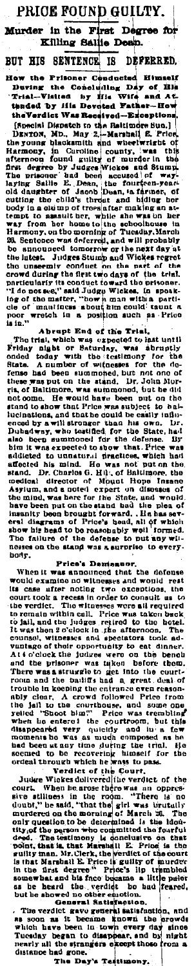PRICE FOUND GUILTY. First Degree for Murder in the Killing Saliie Dean. BUT HIS SENTENCE 18 DEFERRED. BUT HIS SENTENCE IS DEFEREED.<br>
How the Prisoner Cenducted Himself During the Concluded Himself During the Concluding Day of This Here and Attached by file Developed-Exceptions. The Unit of the Sentence of the Sentence of poor wretch<br>is in."

Notes that the position and a position and a Price of the Trial,<br>
The rest End of the Trial,<br>
The rest End of the Trial,<br>
The rest End of the Trial,<br>
The rest End of the Trial,<br>
The rest map expected to hat until<br>
The sign nos.<br>haily

sow us need to to reasonably well intracts.<br>The failure of the defense to put anywhices on the stand was a surprise to be represented to the defense between the standard between the standard was an<br>booth crain and the defe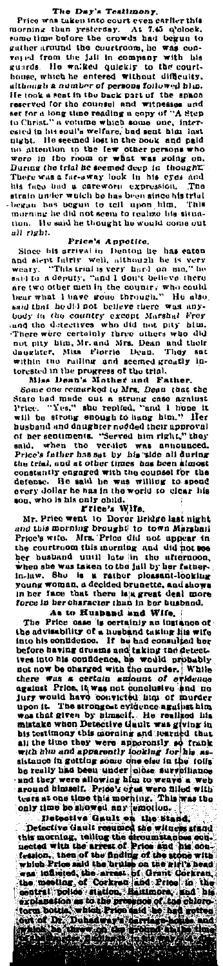The Day's Testimony,<br>Price was used into court even earlier this<br>norning than yesterday. At 7.45 a'clock,<br>ome time before the crowds had begun to morning morning than yesterday. At 7.45 orbitols, the morning than the counter of the counter of the counter of the counter of the counter of the counter of the counter of the counter of the counter of the counter of the counter tion. He<br>all right.

all right.<br>
Erica's Appelite.<br>
Since his arrival in Donton he has eaten<br>
and significally well, although he is very<br>
weary. "This trial is very hard don't believe there<br>
said to a deputy, "and I don't believe there are<br>
ne torested in the progress of the trial.<br>Miss Dean's Mother and Fa

Miss Deam's Michel and Father.<br>
Some one remarked (o Mrs. Deam that there.<br>
Some one remarked (o Mrs. Deam that the<br>
State had mide out a strong case against<br>
Price. "Yes," the replical, "and 1 hone it<br>
will be strong enou salà, when the versite was announced.<br>
Price's father has sat by his wide all during<br>
the trial, and at other times has been simest<br>
constantly eagaged with the counsel for the<br>
defense. He said he was willing to speed<br>
de

orey are was as the boxing in the way with the same of orey dollar he has in the world to clear his on, who is his only oblid. There we at the Droot Bright and this morning brought is the and the morning brought is the and